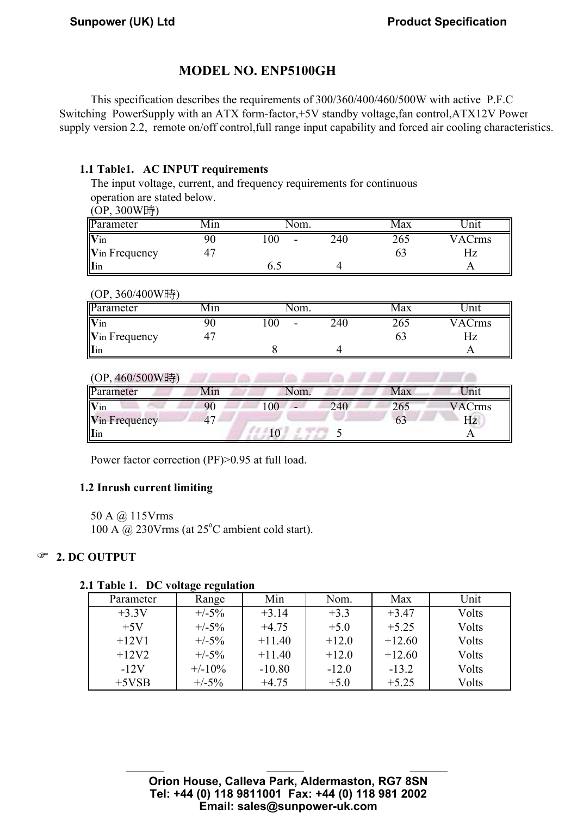# MODEL NO. ENP5100GH

This specification describes the requirements of 300/360/400/460/500W with active P.F.C Switching PowerSupply with an ATX form-factor,+5V standby voltage,fan control,ATX12V Power supply version 2.2, remote on/off control, full range input capability and forced air cooling characteristics.

#### 1.1 Table1. AC INPUT requirements

The input voltage, current, and frequency requirements for continuous operation are stated below.

|  | (OP, 300W時) |
|--|-------------|
|--|-------------|

| --<br>.               |      |                           |     |      |               |
|-----------------------|------|---------------------------|-----|------|---------------|
| Parameter             | VIIn | 'om.                      |     | viax | 'nıı          |
| Vin                   |      | $_{00}$<br>$\blacksquare$ | 240 | 265  | <b>VACrms</b> |
| <b>V</b> in Frequency |      |                           |     |      | Ηz            |
| Iin                   |      | 0.J                       |     |      |               |

#### (OP, 360/400W時)

| Parameter     | Vlın | †om.                    |     | Max | Init               |
|---------------|------|-------------------------|-----|-----|--------------------|
| Vin           |      | $\overline{00}$<br>$\,$ | 240 | 265 | VAC <sub>rms</sub> |
| Vin Frequency |      |                         |     |     | ΗZ                 |
| Iin           |      |                         |     |     |                    |

| (OP, 460/500W時)            |     |                |     |     |               |
|----------------------------|-----|----------------|-----|-----|---------------|
| Parameter                  | Min | Nom.           |     | Max | Jnit          |
| $\overline{\mathbf{V}}$ in |     | 0 <sub>0</sub> | 240 | 265 | <b>VACrms</b> |
| Vin Frequency              | 47  |                |     | 63  | Hz            |
| <b>I</b> in                |     |                |     |     |               |

Power factor correction (PF)>0.95 at full load.

#### 1.2 Inrush current limiting

50 A @ 115Vrms 100 A  $\omega$  230Vrms (at 25<sup>o</sup>C ambient cold start).

### <sup>2</sup> 2. DC OUTPUT

#### 2.1 Table 1. DC voltage regulation

AUDIT:\_\_\_\_\_李復新\_\_\_\_CHECK:\_\_\_\_\_余朝波\_\_\_\_\_DESIGN:\_\_\_\_張炳蘭\_\_\_\_\_

| Parameter | Range     | Min      | Nom.    | Max      | Unit  |
|-----------|-----------|----------|---------|----------|-------|
| $+3.3V$   | $+/-5%$   | $+3.14$  | $+3.3$  | $+3.47$  | Volts |
| $+5V$     | $+/-5\%$  | $+4.75$  | $+5.0$  | $+5.25$  | Volts |
| $+12V1$   | $+/-5%$   | $+11.40$ | $+12.0$ | $+12.60$ | Volts |
| $+12V2$   | $+/-5%$   | $+11.40$ | $+12.0$ | $+12.60$ | Volts |
| $-12V$    | $+/-10\%$ | $-10.80$ | $-12.0$ | $-13.2$  | Volts |
| $+5VSB$   | $+/-5%$   | $+4.75$  | $+5.0$  | $+5.25$  | Volts |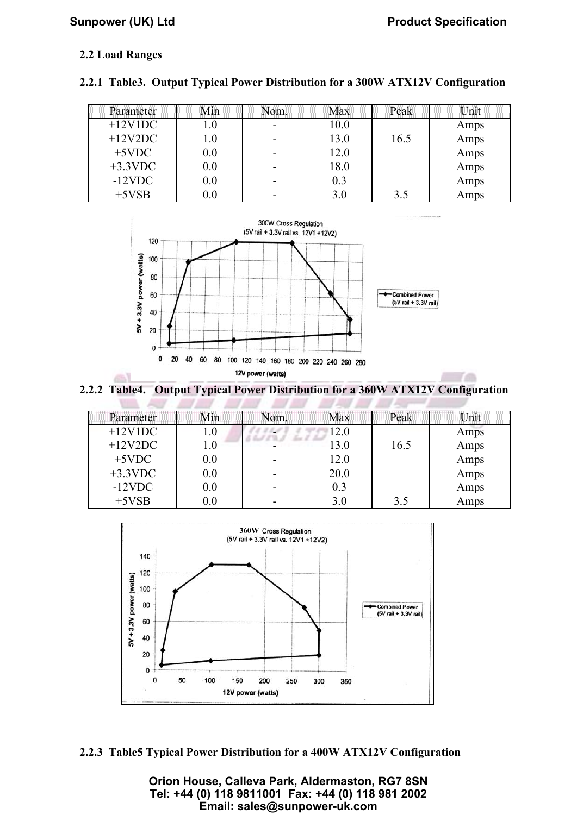ra

# $\sum_{i=1}^{n}$  corresponding  $\sum_{i=1}^{n}$  corresponding  $\sum_{i=1}^{n}$

### 2.2 Load Ranges

| Parameter  | Min     | Nom. | <b>Max</b> | Peak | Unit |
|------------|---------|------|------------|------|------|
| $+12V1DC$  | L.O     |      | 10.0       |      | Amps |
| $+12V2DC$  | $0.1\,$ |      | 13.0       | 16.5 | Amps |
| $+5$ VDC   | 0.0     |      | 12.0       |      | Amps |
| $+3.3$ VDC | 0.0     |      | 18.0       |      | Amps |
| $-12$ VDC  | $0.0\,$ |      | 0.3        |      | Amps |
| $+5VSB$    | $0.0\,$ |      | 3.0        | 3.5  | Amps |





 2.2.2 Table4. Output Typical Power Distribution for a 360W ATX12V Configuration  $\sim$ 

**ANY ANY ANY ANY AVE** 

 $\mathcal{F}$ 

**ANY ANY** 

| Parameter  | Min.    | Nom. | <b>Max</b> | Peak | Unit |
|------------|---------|------|------------|------|------|
| $+12V1DC$  | $1.0\,$ |      | 12.0       |      | Amps |
| $+12V2DC$  | $1.0\,$ |      | 13.0       | 16.5 | Amps |
| $+5$ VDC   | 0.0     |      | 12.0       |      | Amps |
| $+3.3$ VDC | 0.0     |      | 20.0       |      | Amps |
| $-12$ VDC  | 0.0     |      | 0.3        |      | Amps |
| $+5VSB$    | 0.0     |      | 3.0        | 3.5  | Amps |



2.2.3 Table5 Typical Power Distribution for a 400W ATX12V Configuration

 $A_{\rm max} = \frac{1}{2} \left( \frac{1}{2} \right)^2 + \frac{1}{2} \left( \frac{1}{2} \right)^2 + \frac{1}{2} \left( \frac{1}{2} \right)^2 + \frac{1}{2} \left( \frac{1}{2} \right)^2 + \frac{1}{2} \left( \frac{1}{2} \right)^2 + \frac{1}{2} \left( \frac{1}{2} \right)^2 + \frac{1}{2} \left( \frac{1}{2} \right)^2 + \frac{1}{2} \left( \frac{1}{2} \right)^2 + \frac{1}{2} \left( \frac{1}{2} \right)^2 + \frac{1}{2} \left( \frac{1}{$ 

**Orion House, Calleva Park, Aldermaston, RG7 8SN Tel: +44 (0) 118 9811001 Fax: +44 (0) 118 981 2002 Email: sales@sunpower-uk.com**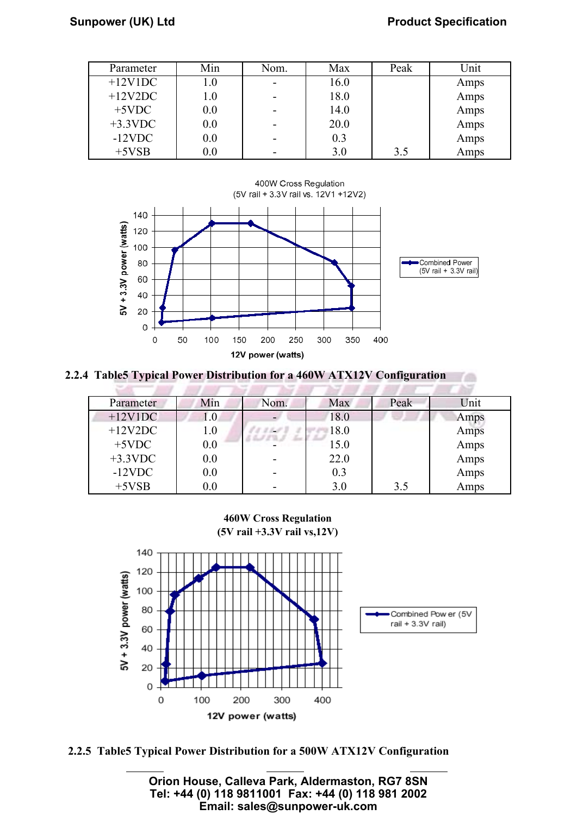#### $\frac{1}{2}$   $\frac{1}{2}$   $\frac{1}{2}$   $\frac{1}{2}$   $\frac{1}{2}$   $\frac{1}{2}$   $\frac{1}{2}$   $\frac{1}{2}$   $\frac{1}{2}$   $\frac{1}{2}$   $\frac{1}{2}$   $\frac{1}{2}$   $\frac{1}{2}$   $\frac{1}{2}$   $\frac{1}{2}$   $\frac{1}{2}$   $\frac{1}{2}$   $\frac{1}{2}$   $\frac{1}{2}$   $\frac{1}{2}$   $\frac{1}{2}$   $\frac{1}{2}$  **Sunpower (UK) Ltd Product Specification**

rm

| Parameter  | Min     | Nom. | Max  | Peak | Jnit |
|------------|---------|------|------|------|------|
| $+12V1DC$  | 1.0     |      | 16.0 |      | Amps |
| $+12V2DC$  | $1.0\,$ |      | 18.0 |      | Amps |
| $+5$ VDC   | 0.0     |      | 14.0 |      | Amps |
| $+3.3$ VDC | 0.0     |      | 20.0 |      | Amps |
| $-12$ VDC  | 0.0     |      | 0.3  |      | Amps |
| $+5VSB$    | 0.0     |      | 3.0  | 3.5  | Amps |



2.2.4 Table5 Typical Power Distribution for a 460W ATX12V Configuration

| Parameter  | Min | Nom. | Max  | Peak | Unit |
|------------|-----|------|------|------|------|
| $+12V1DC$  | 1.0 |      | 18.0 |      | Amps |
| $+12V2DC$  | 1.0 |      | 18.0 |      | Amps |
| $+5$ VDC   | 0.0 |      | 15.0 |      | Amps |
| $+3.3$ VDC | 0.0 |      | 22.0 |      | Amps |
| $-12$ VDC  | 0.0 |      | 0.3  |      | Amps |
| $+5VSB$    | 0.0 |      | 3.0  | 3.5  | Amps |

460W Cross Regulation (5V rail +3.3V rail vs,12V)



2.2.5 Table5 Typical Power Distribution for a 500W ATX12V Configuration

 $A_{\rm max} = \frac{1}{2} \left( \frac{1}{2} \right)^2 + \frac{1}{2} \left( \frac{1}{2} \right)^2 + \frac{1}{2} \left( \frac{1}{2} \right)^2 + \frac{1}{2} \left( \frac{1}{2} \right)^2 + \frac{1}{2} \left( \frac{1}{2} \right)^2 + \frac{1}{2} \left( \frac{1}{2} \right)^2 + \frac{1}{2} \left( \frac{1}{2} \right)^2 + \frac{1}{2} \left( \frac{1}{2} \right)^2 + \frac{1}{2} \left( \frac{1}{2} \right)^2 + \frac{1}{2} \left( \frac{1}{$ 

**Orion House, Calleva Park, Aldermaston, RG7 8SN Tel: +44 (0) 118 9811001 Fax: +44 (0) 118 981 2002 Email: sales@sunpower-uk.com**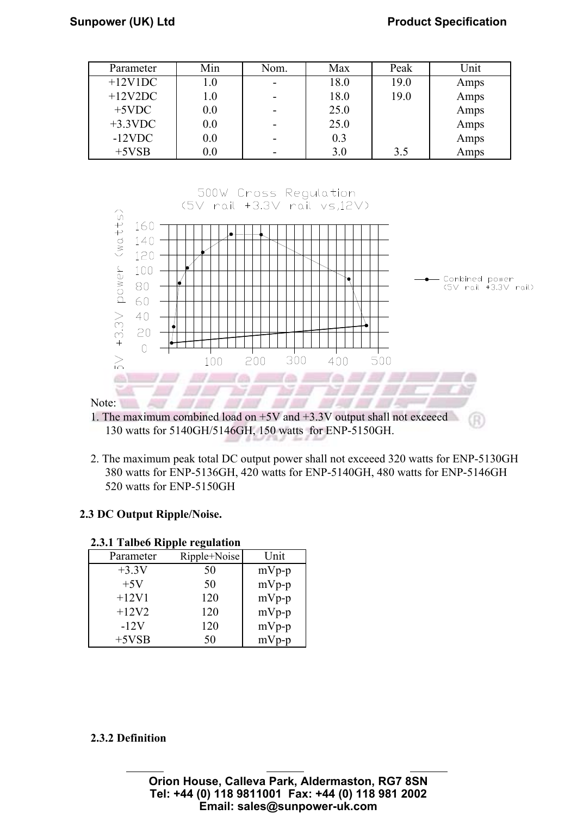| Parameter  | Min     | Nom. | Max  | Peak | Jnit |
|------------|---------|------|------|------|------|
| $+12V1DC$  | 1.0     |      | 18.0 | 19.0 | Amps |
| $+12V2DC$  | $1.0\,$ |      | 18.0 | 19.0 | Amps |
| $+5$ VDC   | 0.0     |      | 25.0 |      | Amps |
| $+3.3$ VDC | 0.0     |      | 25.0 |      | Amps |
| $-12$ VDC  | 0.0     |      | 0.3  |      | Amps |
| $+5VSB$    | $0.0\,$ |      | 3.0  | 3.5  | Amps |



<sup>1.</sup> The maximum combined load on +5V and +3.3V output shall not exceeed 130 watts for 5140GH/5146GH, 150 watts for ENP-5150GH.

2. The maximum peak total DC output power shall not exceeed 320 watts for ENP-5130GH 380 watts for ENP-5136GH, 420 watts for ENP-5140GH, 480 watts for ENP-5146GH 520 watts for ENP-5150GH

#### 2.3 DC Output Ripple/Noise.

| ans co ruppic regulation |              |         |  |  |  |  |
|--------------------------|--------------|---------|--|--|--|--|
| Parameter                | Ripple+Noise | Unit    |  |  |  |  |
| $+3.3V$                  | 50           | $mVp-p$ |  |  |  |  |
| $+5V$                    | 50           | $mVp-p$ |  |  |  |  |
| $+12V1$                  | 120          | $mVp-p$ |  |  |  |  |
| $+12V2$                  | 120          | $mVp-p$ |  |  |  |  |
| $-12V$                   | 120          | $mVp-p$ |  |  |  |  |
| $+5VSB$                  | 50           | $mVp-p$ |  |  |  |  |

#### 2.3.1 Talbe6 Ripple regulation

#### 2.3.2 Definition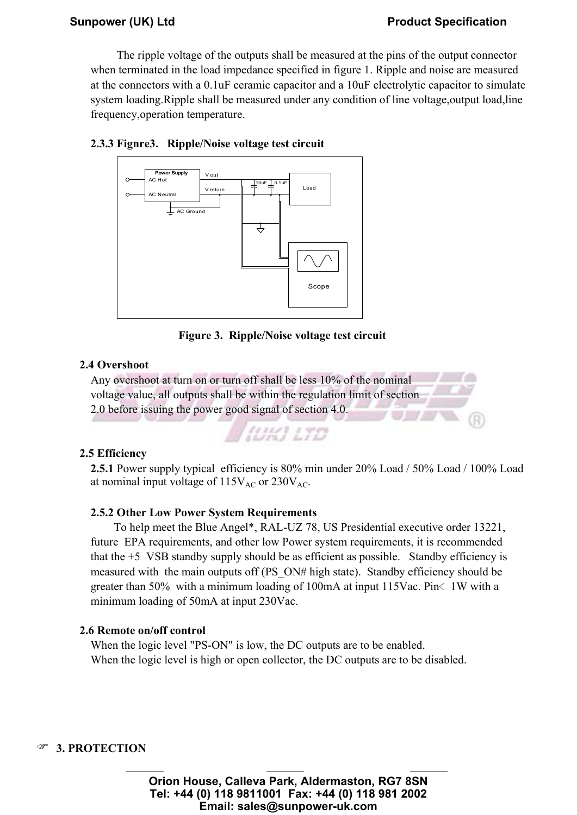# $\frac{1}{2}$   $\frac{1}{2}$   $\frac{1}{2}$   $\frac{1}{2}$   $\frac{1}{2}$   $\frac{1}{2}$   $\frac{1}{2}$   $\frac{1}{2}$   $\frac{1}{2}$   $\frac{1}{2}$   $\frac{1}{2}$   $\frac{1}{2}$   $\frac{1}{2}$   $\frac{1}{2}$   $\frac{1}{2}$   $\frac{1}{2}$   $\frac{1}{2}$   $\frac{1}{2}$   $\frac{1}{2}$   $\frac{1}{2}$   $\frac{1}{2}$   $\frac{1}{2}$

 The ripple voltage of the outputs shall be measured at the pins of the output connector when terminated in the load impedance specified in figure 1. Ripple and noise are measured at the connectors with a 0.1uF ceramic capacitor and a 10uF electrolytic capacitor to simulate system loading.Ripple shall be measured under any condition of line voltage,output load,line frequency,operation temperature.





Figure 3. Ripple/Noise voltage test circuit

### 2.4 Overshoot

Any overshoot at turn on or turn off shall be less 10% of the nominal voltage value, all outputs shall be within the regulation limit of section 2.0 before issuing the power good signal of section 4.0.

**(UK) 17D** 

### 2.5 Efficiency

2.5.1 Power supply typical efficiency is 80% min under 20% Load / 50% Load / 100% Load at nominal input voltage of  $115V_{AC}$  or  $230V_{AC}$ .

#### 2.5.2 Other Low Power System Requirements

 To help meet the Blue Angel\*, RAL-UZ 78, US Presidential executive order 13221, future EPA requirements, and other low Power system requirements, it is recommended that the +5 VSB standby supply should be as efficient as possible. Standby efficiency is measured with the main outputs off (PS\_ON# high state). Standby efficiency should be greater than 50% with a minimum loading of 100mA at input 115Vac. Pin $\lt$  1W with a minimum loading of 50mA at input 230Vac.

#### 2.6 Remote on/off control

When the logic level "PS-ON" is low, the DC outputs are to be enabled. When the logic level is high or open collector, the DC outputs are to be disabled.

#### **<sup>3</sup>** 3. PROTECTION

**Orion House, Calleva Park, Aldermaston, RG7 8SN Tel: +44 (0) 118 9811001 Fax: +44 (0) 118 981 2002 Email: sales@sunpower-uk.com**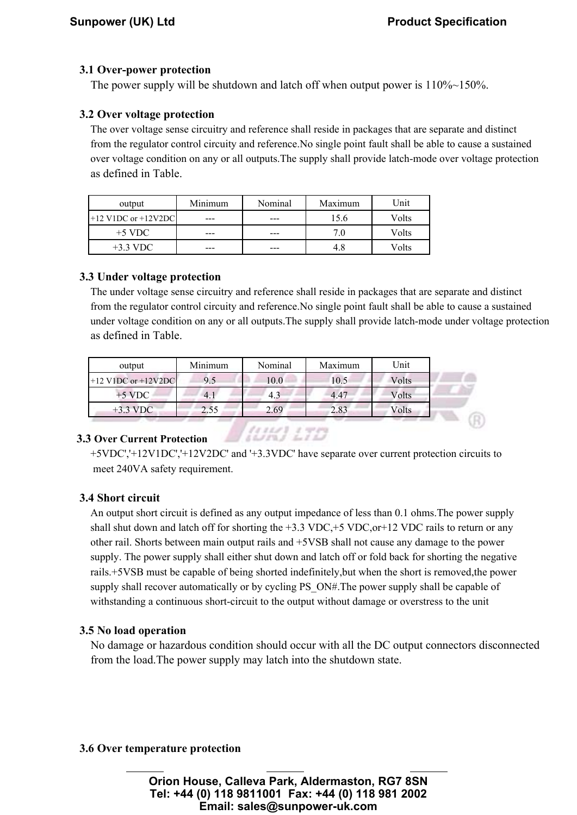#### 3.1 Over-power protection

The power supply will be shutdown and latch off when output power is  $110\% \sim 150\%$ .

#### 3.2 Over voltage protection

The over voltage sense circuitry and reference shall reside in packages that are separate and distinct from the regulator control circuity and reference.No single point fault shall be able to cause a sustained over voltage condition on any or all outputs.The supply shall provide latch-mode over voltage protection as defined in Table.

| output                  | Minimum | Nominal | Maximum | Unit  |
|-------------------------|---------|---------|---------|-------|
| $+12$ V1DC or $+12V2DC$ | ---     |         |         | Volts |
| $+5$ VDC                | ---     | ---     | 7.0     | Volts |
| $+3.3 \text{ VDC}$      | ---     |         | 4.8     | Volts |

#### 3.3 Under voltage protection

The under voltage sense circuitry and reference shall reside in packages that are separate and distinct from the regulator control circuity and reference.No single point fault shall be able to cause a sustained under voltage condition on any or all outputs.The supply shall provide latch-mode under voltage protection as defined in Table.

| output                  | Minimum | Nominal | Maximum | Unit  |
|-------------------------|---------|---------|---------|-------|
| $+12$ V1DC or $+12V2DC$ | 9.5     | 10.0    | 10.5    | Volts |
| $+5$ VDC                | 4.1     | 4.3     | 4.47    | Volts |
| $+3.3 \text{ VDC}$      | 2.55    | 2.69    | 2.83    | Volts |
|                         |         |         |         |       |

(UK) 17D

#### 3.3 Over Current Protection

 +5VDC','+12V1DC','+12V2DC' and '+3.3VDC' have separate over current protection circuits to meet 240VA safety requirement.

#### 3.4 Short circuit

An output short circuit is defined as any output impedance of less than 0.1 ohms.The power supply shall shut down and latch off for shorting the  $+3.3$  VDC, $+5$  VDC, $or+12$  VDC rails to return or any other rail. Shorts between main output rails and +5VSB shall not cause any damage to the power supply. The power supply shall either shut down and latch off or fold back for shorting the negative rails.+5VSB must be capable of being shorted indefinitely,but when the short is removed,the power supply shall recover automatically or by cycling PS\_ON#.The power supply shall be capable of withstanding a continuous short-circuit to the output without damage or overstress to the unit

#### 3.5 No load operation

No damage or hazardous condition should occur with all the DC output connectors disconnected from the load.The power supply may latch into the shutdown state.

#### 3.6 Over temperature protection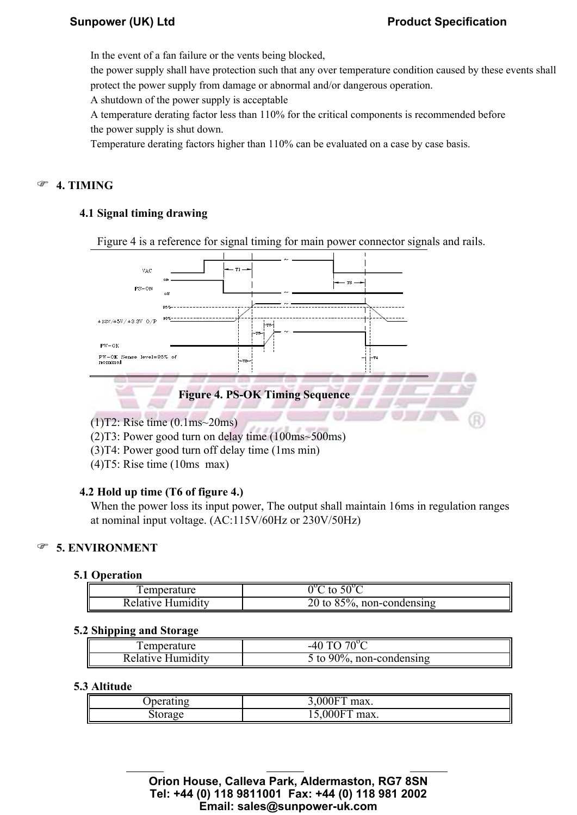In the event of a fan failure or the vents being blocked,

the power supply shall have protection such that any over temperature condition caused by these events shall protect the power supply from damage or abnormal and/or dangerous operation.

A shutdown of the power supply is acceptable

A temperature derating factor less than 110% for the critical components is recommended before the power supply is shut down.

Temperature derating factors higher than 110% can be evaluated on a case by case basis.

### <sup>®</sup> 4. TIMING

#### 4.1 Signal timing drawing

Figure 4 is a reference for signal timing for main power connector signals and rails.



(1)T2: Rise time (0.1ms~20ms)

(2)T3: Power good turn on delay time (100ms~500ms)

- (3)T4: Power good turn off delay time (1ms min)
- (4)T5: Rise time (10ms max)

#### 4.2 Hold up time (T6 of figure 4.)

When the power loss its input power, The output shall maintain 16ms in regulation ranges at nominal input voltage. (AC:115V/60Hz or 230V/50Hz)

#### **F** 5. ENVIRONMENT

#### 5.1 Operation

| . emperature      | $.50^{\circ}$ C<br>to         |
|-------------------|-------------------------------|
| Relative Humidity | 20 to $85\%$ , non-condensing |

#### 5.2 Shipping and Storage

| l emperature      | $-40\,T0$ $70^{\circ}$ $\sim$ |
|-------------------|-------------------------------|
| Relative Humiditv | 5 to 90%, non-condensing      |

#### 5.3 Altitude

| Joerating | 0000<br>.000F<br>max.                    |
|-----------|------------------------------------------|
| storage   | $0.00$ $\overline{D}$<br>15,000F<br>max. |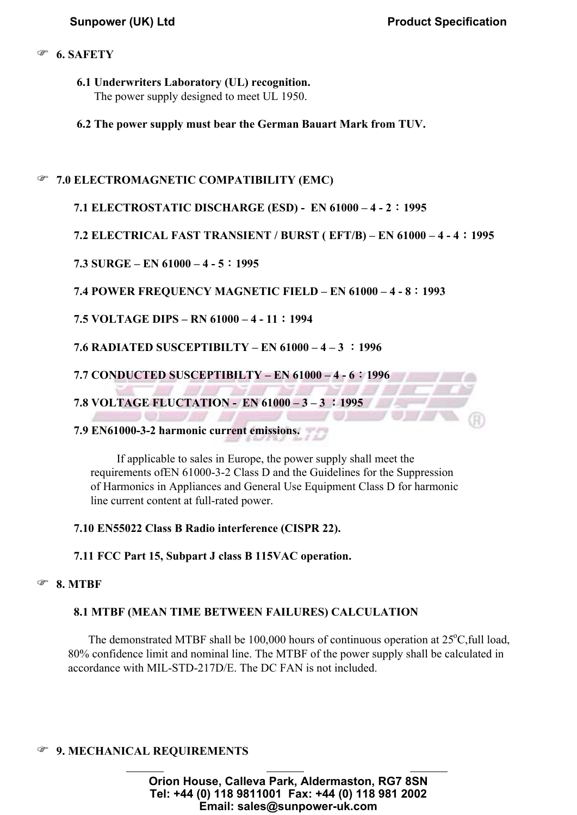#### <sup>®</sup> 6. SAFETY

- 6.1 Underwriters Laboratory (UL) recognition. The power supply designed to meet UL 1950.
- 6.2 The power supply must bear the German Bauart Mark from TUV.

### **<sup>3</sup>** 7.0 ELECTROMAGNETIC COMPATIBILITY (EMC)

#### 7.1 ELECTROSTATIC DISCHARGE (ESD) - EN 61000 – 4 - 2:1995

7.2 ELECTRICAL FAST TRANSIENT / BURST ( EFT/B) – EN 61000 – 4 - 4:1995

#### 7.3 SURGE – EN 61000 – 4 - 5:1995

#### 7.4 POWER FREQUENCY MAGNETIC FIELD – EN 61000 – 4 - 8:1993

7.5 VOLTAGE DIPS – RN 61000 – 4 - 11:1994

7.6 RADIATED SUSCEPTIBILTY – EN 61000 – 4 – 3 :1996

7.7 CONDUCTED SUSCEPTIBILTY – EN 61000 – 4 - 6:1996

7.8 VOLTAGE FLUCTATION - EN 61000 – 3 – 3 :1995

#### 7.9 EN61000-3-2 harmonic current emissions.

 If applicable to sales in Europe, the power supply shall meet the requirements ofEN 61000-3-2 Class D and the Guidelines for the Suppression of Harmonics in Appliances and General Use Equipment Class D for harmonic line current content at full-rated power.

#### 7.10 EN55022 Class B Radio interference (CISPR 22).

7.11 FCC Part 15, Subpart J class B 115VAC operation.

#### 8. MTBF

## 8.1 MTBF (MEAN TIME BETWEEN FAILURES) CALCULATION

The demonstrated MTBF shall be 100,000 hours of continuous operation at  $25^{\circ}$ C, full load, 80% confidence limit and nominal line. The MTBF of the power supply shall be calculated in accordance with MIL-STD-217D/E. The DC FAN is not included.

# **9. MECHANICAL REQUIREMENTS**

**Orion House, Calleva Park, Aldermaston, RG7 8SN Tel: +44 (0) 118 9811001 Fax: +44 (0) 118 981 2002 Email: sales@sunpower-uk.com**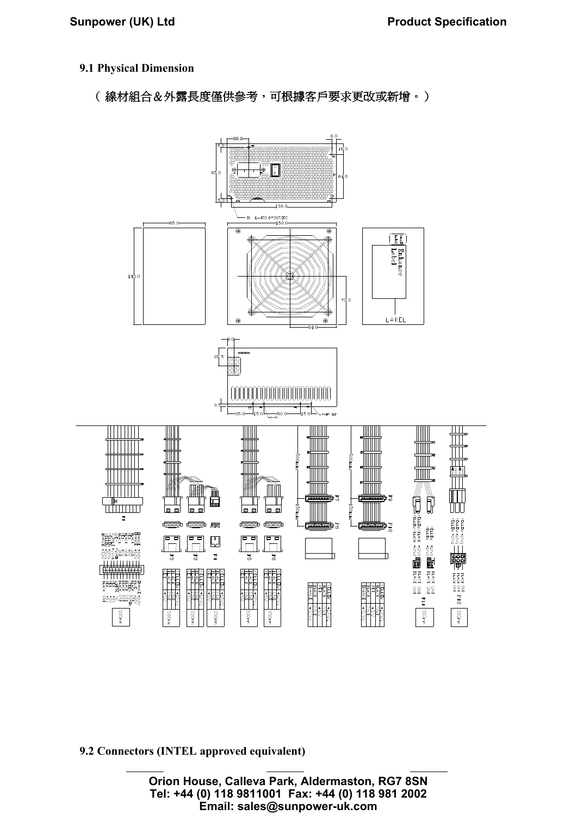#### 9.1 Physical Dimension

(線材組合&外露長度僅供參考,可根據客戶要求更改或新增。)



9.2 Connectors (INTEL approved equivalent)

**Orion House, Calleva Park, Aldermaston, RG7 8SN Tel: +44 (0) 118 9811001 Fax: +44 (0) 118 981 2002 Email: sales@sunpower-uk.com**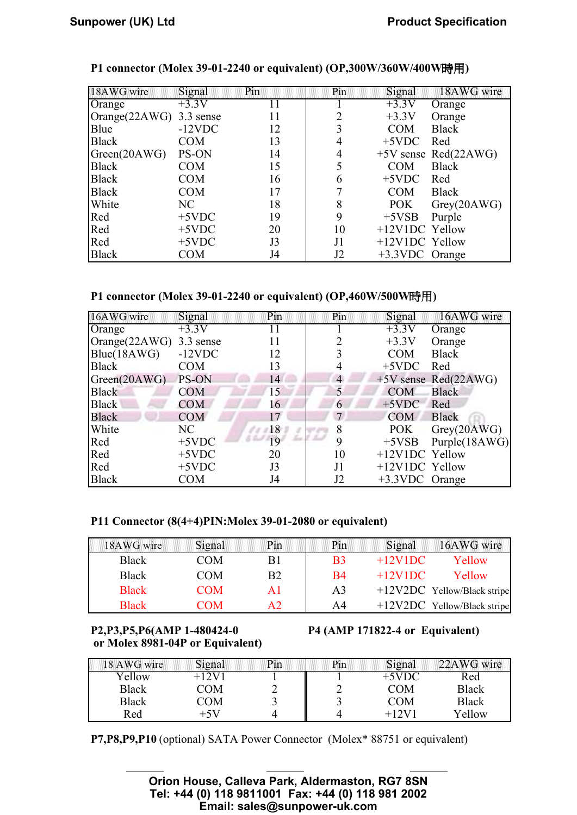| 18AWG wire              | <b>Signal</b> | Pin | Pin | Signal         | 18AWG wire           |
|-------------------------|---------------|-----|-----|----------------|----------------------|
| Orange                  | $+3.3V$       | Ħ   |     | $+3.3V$        | Orange               |
| Orange(22AWG) 3.3 sense |               | 11  | 2   | $+3.3V$        | Orange               |
| Blue                    | $-12$ VDC     | 12  | 3   | <b>COM</b>     | <b>Black</b>         |
| <b>Black</b>            | <b>COM</b>    | 13  | 4   | $+5$ VDC       | Red                  |
| Green(20AWG)            | PS-ON         | 14  | 4   |                | +5V sense Red(22AWG) |
| <b>Black</b>            | <b>COM</b>    | 15  | 5   | <b>COM</b>     | <b>Black</b>         |
| <b>Black</b>            | <b>COM</b>    | 16  | 6   | $+5$ VDC       | Red                  |
| <b>Black</b>            | <b>COM</b>    | 17  | 7   | <b>COM</b>     | Black                |
| White                   | NC            | 18  | 8   | POK            | Grey(20AWG)          |
| Red                     | $+5$ VDC      | 19  | 9   | $+5VSB$        | Purple               |
| Red                     | $+5$ VDC      | 20  | 10  | +12V1DC Yellow |                      |
| Red                     | $+5$ VDC      | J3  | J1  | +12V1DC Yellow |                      |
| <b>Black</b>            | <b>COM</b>    | J4  | J2  | +3.3VDC Orange |                      |

#### P1 connector (Molex 39-01-2240 or equivalent) (OP,300W/360W/400W時用)

#### P1 connector (Molex 39-01-2240 or equivalent) (OP,460W/500W時用)

| 16AWG wire              | Signal     | Pin     | Pin            | Signal         | 16AWG wire           |
|-------------------------|------------|---------|----------------|----------------|----------------------|
| Orange                  | $+3.3V$    | $\perp$ |                | $+3.3V$        | Orange               |
| Orange(22AWG) 3.3 sense |            | 11      | 2              | $+3.3V$        | Orange               |
| Blue(18AWG)             | $-12$ VDC  | 12      |                | <b>COM</b>     | <b>Black</b>         |
| <b>Black</b>            | <b>COM</b> | 13      | 4              | $+5$ VDC       | Red                  |
| Green(20AWG)            | PS-ON      | 14      | $\overline{4}$ |                | +5V sense Red(22AWG) |
| <b>Black</b>            | <b>COM</b> | 15      | 5              | <b>COM</b>     | <b>Black</b>         |
| <b>Black</b>            | <b>COM</b> | 16      | 6              | $+5$ VDC       | Red                  |
| <b>Black</b>            | <b>COM</b> | 17      | $\tau$         | <b>COM</b>     | <b>Black</b>         |
| White                   | NC         | 18      | 8              | POK            | Grey(20AWG)          |
| Red                     | $+5$ VDC   | 19      | 9              | $+5VSB$        | Purple(18AWG)        |
| Red                     | $+5$ VDC   | 20      | 10             | +12V1DC Yellow |                      |
| Red                     | $+5$ VDC   | J3      | J1             | +12V1DC Yellow |                      |
| <b>Black</b>            | <b>COM</b> | J4      | J2             | +3.3VDC Orange |                      |

#### P11 Connector (8(4+4)PIN:Molex 39-01-2080 or equivalent)

| 18AWG wire   | Signal | $P_{1}n$ |    | Signal    | 16AWG wire                    |
|--------------|--------|----------|----|-----------|-------------------------------|
| <b>Black</b> | COM.   |          | B3 | $+12V1DC$ | Yellow                        |
| <b>Black</b> | COM    | B2       | B4 | $+12V1DC$ | Yellow                        |
| <b>Black</b> | COM    | ΑI       | A3 |           | $+12V2DC$ Yellow/Black stripe |
| <b>Black</b> | 'OM    |          | A4 |           | $+12V2DC$ Yellow/Black stripe |

# or Molex 8981-04P or Equivalent)

#### P2,P3,P5,P6(AMP 1-480424-0 P4 (AMP 171822-4 or Equivalent)

| $18$ AWG wire | Signai |  | Alona | $-4\overline{\text{WG}}$ wire |
|---------------|--------|--|-------|-------------------------------|
| ellow         |        |  |       | Red                           |
| <b>Black</b>  | OΜ     |  | ЭM    | Black                         |
| <b>Black</b>  | OΜ     |  | ΟM    | <b>Black</b>                  |
| Red           | +7 \   |  |       | Yellow                        |

P7,P8,P9,P10 (optional) SATA Power Connector (Molex\* 88751 or equivalent)

 $A_{\rm max} = \frac{1}{2} \left( \frac{1}{2} \right)^2 + \frac{1}{2} \left( \frac{1}{2} \right)^2 + \frac{1}{2} \left( \frac{1}{2} \right)^2 + \frac{1}{2} \left( \frac{1}{2} \right)^2 + \frac{1}{2} \left( \frac{1}{2} \right)^2 + \frac{1}{2} \left( \frac{1}{2} \right)^2 + \frac{1}{2} \left( \frac{1}{2} \right)^2 + \frac{1}{2} \left( \frac{1}{2} \right)^2 + \frac{1}{2} \left( \frac{1}{2} \right)^2 + \frac{1}{2} \left( \frac{1}{$ 

**Orion House, Calleva Park, Aldermaston, RG7 8SN Tel: +44 (0) 118 9811001 Fax: +44 (0) 118 981 2002 Email: sales@sunpower-uk.com**